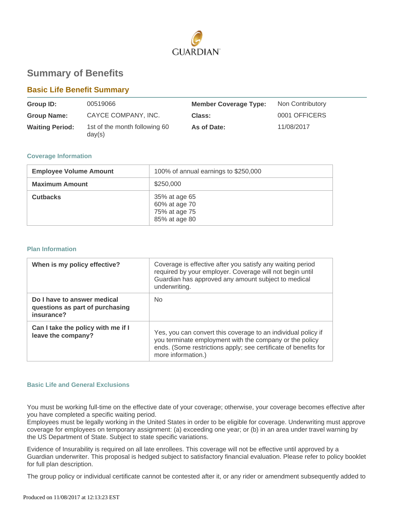

# **Summary of Benefits**

# **Basic Life Benefit Summary**

| Group ID:              | 00519066                                | <b>Member Coverage Type:</b> | Non Contributory |
|------------------------|-----------------------------------------|------------------------------|------------------|
| <b>Group Name:</b>     | CAYCE COMPANY, INC.                     | Class:                       | 0001 OFFICERS    |
| <b>Waiting Period:</b> | 1st of the month following 60<br>day(s) | As of Date:                  | 11/08/2017       |

# **Coverage Information**

| <b>Employee Volume Amount</b> | 100% of annual earnings to \$250,000                             |
|-------------------------------|------------------------------------------------------------------|
| <b>Maximum Amount</b>         | \$250,000                                                        |
| <b>Cutbacks</b>               | 35% at age 65<br>60% at age 70<br>75% at age 75<br>85% at age 80 |

#### **Plan Information**

| When is my policy effective?                                                 | Coverage is effective after you satisfy any waiting period<br>required by your employer. Coverage will not begin until<br>Guardian has approved any amount subject to medical<br>underwriting.                    |
|------------------------------------------------------------------------------|-------------------------------------------------------------------------------------------------------------------------------------------------------------------------------------------------------------------|
| Do I have to answer medical<br>questions as part of purchasing<br>insurance? | No.                                                                                                                                                                                                               |
| Can I take the policy with me if I<br>leave the company?                     | Yes, you can convert this coverage to an individual policy if<br>you terminate employment with the company or the policy<br>ends. (Some restrictions apply; see certificate of benefits for<br>more information.) |

# **Basic Life and General Exclusions**

You must be working full-time on the effective date of your coverage; otherwise, your coverage becomes effective after you have completed a specific waiting period.

Employees must be legally working in the United States in order to be eligible for coverage. Underwriting must approve coverage for employees on temporary assignment: (a) exceeding one year; or (b) in an area under travel warning by the US Department of State. Subject to state specific variations.

Evidence of Insurability is required on all late enrollees. This coverage will not be effective until approved by a Guardian underwriter. This proposal is hedged subject to satisfactory financial evaluation. Please refer to policy booklet for full plan description.

The group policy or individual certificate cannot be contested after it, or any rider or amendment subsequently added to